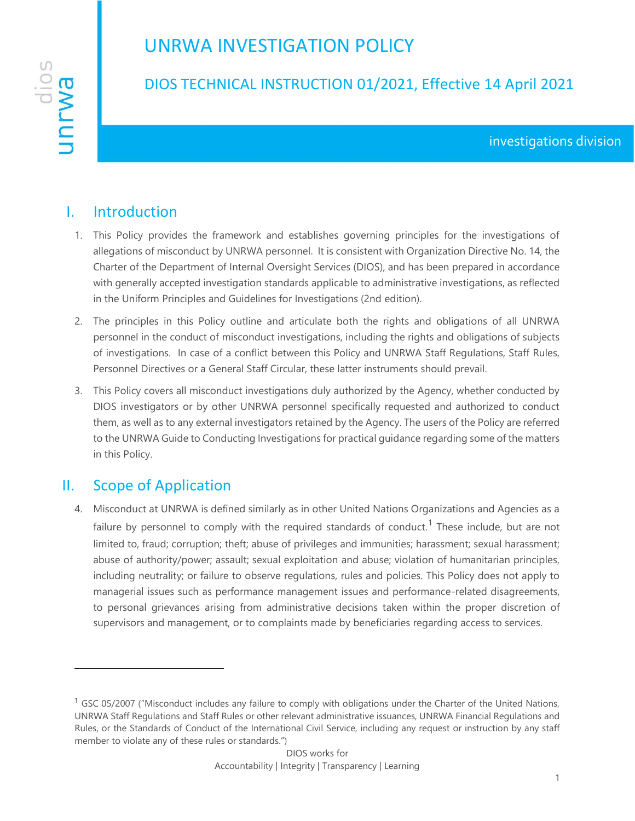# UNRWA INVESTIGATION POLICY



## DIOS TECHNICAL INSTRUCTION 01/2021, Effective 14 April 2021

### I. Introduction

- 1. This Policy provides the framework and establishes governing principles for the investigations of allegations of misconduct by UNRWA personnel. It is consistent with Organization Directive No. 14, the Charter of the Department of Internal Oversight Services (DIOS), and has been prepared in accordance with generally accepted investigation standards applicable to administrative investigations, as reflected in the Uniform Principles and Guidelines for Investigations (2nd edition).
- 2. The principles in this Policy outline and articulate both the rights and obligations of all UNRWA personnel in the conduct of misconduct investigations, including the rights and obligations of subjects of investigations. In case of a conflict between this Policy and UNRWA Staff Regulations, Staff Rules, Personnel Directives or a General Staff Circular, these latter instruments should prevail.
- 3. This Policy covers all misconduct investigations duly authorized by the Agency, whether conducted by DIOS investigators or by other UNRWA personnel specifically requested and authorized to conduct them, as well as to any external investigators retained by the Agency. The users of the Policy are referred to the UNRWA Guide to Conducting Investigations for practical guidance regarding some of the matters in this Policy.

### II. Scope of Application

4. Misconduct at UNRWA is defined similarly as in other United Nations Organizations and Agencies as a failure by personnel to comply with the required standards of conduct.<sup>1</sup> These include, but are not limited to, fraud; corruption; theft; abuse of privileges and immunities; harassment; sexual harassment; abuse of authority/power; assault; sexual exploitation and abuse; violation of humanitarian principles, including neutrality; or failure to observe regulations, rules and policies. This Policy does not apply to managerial issues such as performance management issues and performance-related disagreements, to personal grievances arising from administrative decisions taken within the proper discretion of supervisors and management, or to complaints made by beneficiaries regarding access to services.

<sup>&</sup>lt;sup>1</sup> GSC 05/2007 ("Misconduct includes any failure to comply with obligations under the Charter of the United Nations, UNRWA Staff Regulations and Staff Rules or other relevant administrative issuances, UNRWA Financial Regulations and Rules, or the Standards of Conduct of the International Civil Service, including any request or instruction by any staff member to violate any of these rules or standards.")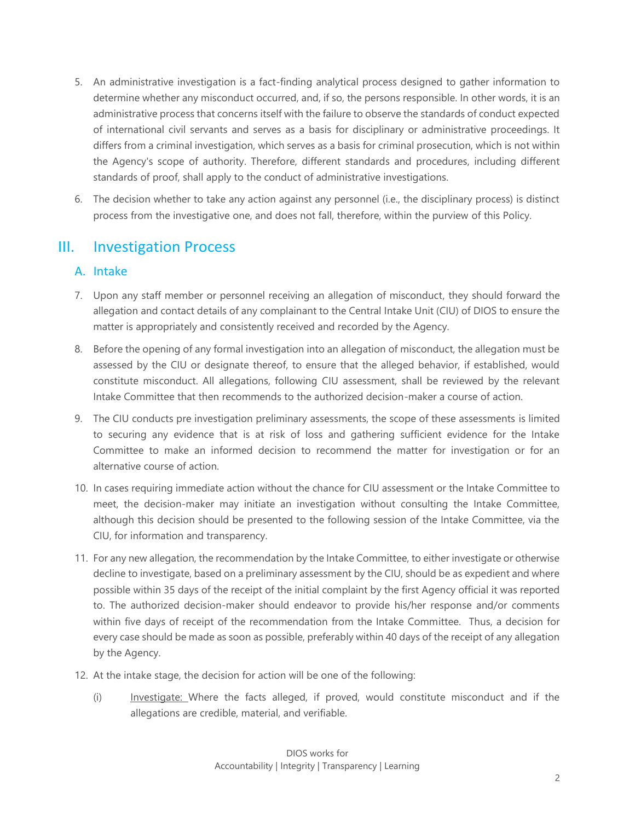- 5. An administrative investigation is a fact-finding analytical process designed to gather information to determine whether any misconduct occurred, and, if so, the persons responsible. In other words, it is an administrative process that concerns itself with the failure to observe the standards of conduct expected of international civil servants and serves as a basis for disciplinary or administrative proceedings. It differs from a criminal investigation, which serves as a basis for criminal prosecution, which is not within the Agency's scope of authority. Therefore, different standards and procedures, including different standards of proof, shall apply to the conduct of administrative investigations.
- 6. The decision whether to take any action against any personnel (i.e., the disciplinary process) is distinct process from the investigative one, and does not fall, therefore, within the purview of this Policy.

### III. Investigation Process

#### A. Intake

- 7. Upon any staff member or personnel receiving an allegation of misconduct, they should forward the allegation and contact details of any complainant to the Central Intake Unit (CIU) of DIOS to ensure the matter is appropriately and consistently received and recorded by the Agency.
- 8. Before the opening of any formal investigation into an allegation of misconduct, the allegation must be assessed by the CIU or designate thereof, to ensure that the alleged behavior, if established, would constitute misconduct. All allegations, following CIU assessment, shall be reviewed by the relevant Intake Committee that then recommends to the authorized decision-maker a course of action.
- 9. The CIU conducts pre investigation preliminary assessments, the scope of these assessments is limited to securing any evidence that is at risk of loss and gathering sufficient evidence for the Intake Committee to make an informed decision to recommend the matter for investigation or for an alternative course of action.
- 10. In cases requiring immediate action without the chance for CIU assessment or the Intake Committee to meet, the decision-maker may initiate an investigation without consulting the Intake Committee, although this decision should be presented to the following session of the Intake Committee, via the CIU, for information and transparency.
- 11. For any new allegation, the recommendation by the Intake Committee, to either investigate or otherwise decline to investigate, based on a preliminary assessment by the CIU, should be as expedient and where possible within 35 days of the receipt of the initial complaint by the first Agency official it was reported to. The authorized decision-maker should endeavor to provide his/her response and/or comments within five days of receipt of the recommendation from the Intake Committee. Thus, a decision for every case should be made as soon as possible, preferably within 40 days of the receipt of any allegation by the Agency.
- 12. At the intake stage, the decision for action will be one of the following:
	- (i) Investigate: Where the facts alleged, if proved, would constitute misconduct and if the allegations are credible, material, and verifiable.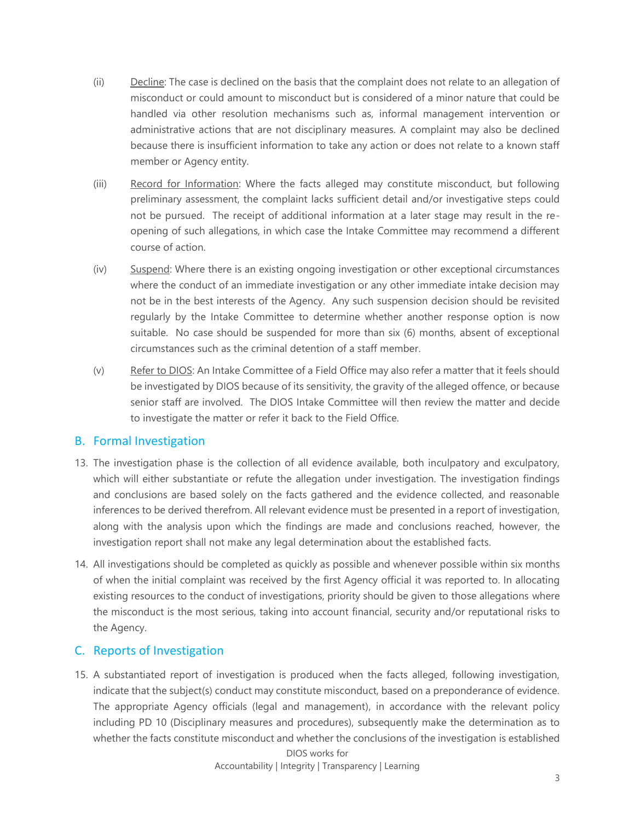- (ii) Decline: The case is declined on the basis that the complaint does not relate to an allegation of misconduct or could amount to misconduct but is considered of a minor nature that could be handled via other resolution mechanisms such as, informal management intervention or administrative actions that are not disciplinary measures. A complaint may also be declined because there is insufficient information to take any action or does not relate to a known staff member or Agency entity.
- (iii) Record for Information: Where the facts alleged may constitute misconduct, but following preliminary assessment, the complaint lacks sufficient detail and/or investigative steps could not be pursued. The receipt of additional information at a later stage may result in the reopening of such allegations, in which case the Intake Committee may recommend a different course of action.
- (iv) Suspend: Where there is an existing ongoing investigation or other exceptional circumstances where the conduct of an immediate investigation or any other immediate intake decision may not be in the best interests of the Agency. Any such suspension decision should be revisited regularly by the Intake Committee to determine whether another response option is now suitable. No case should be suspended for more than six (6) months, absent of exceptional circumstances such as the criminal detention of a staff member.
- (v) Refer to DIOS: An Intake Committee of a Field Office may also refer a matter that it feels should be investigated by DIOS because of its sensitivity, the gravity of the alleged offence, or because senior staff are involved. The DIOS Intake Committee will then review the matter and decide to investigate the matter or refer it back to the Field Office.

#### B. Formal Investigation

- 13. The investigation phase is the collection of all evidence available, both inculpatory and exculpatory, which will either substantiate or refute the allegation under investigation. The investigation findings and conclusions are based solely on the facts gathered and the evidence collected, and reasonable inferences to be derived therefrom. All relevant evidence must be presented in a report of investigation, along with the analysis upon which the findings are made and conclusions reached, however, the investigation report shall not make any legal determination about the established facts.
- 14. All investigations should be completed as quickly as possible and whenever possible within six months of when the initial complaint was received by the first Agency official it was reported to. In allocating existing resources to the conduct of investigations, priority should be given to those allegations where the misconduct is the most serious, taking into account financial, security and/or reputational risks to the Agency.

#### C. Reports of Investigation

15. A substantiated report of investigation is produced when the facts alleged, following investigation, indicate that the subject(s) conduct may constitute misconduct, based on a preponderance of evidence. The appropriate Agency officials (legal and management), in accordance with the relevant policy including PD 10 (Disciplinary measures and procedures), subsequently make the determination as to whether the facts constitute misconduct and whether the conclusions of the investigation is established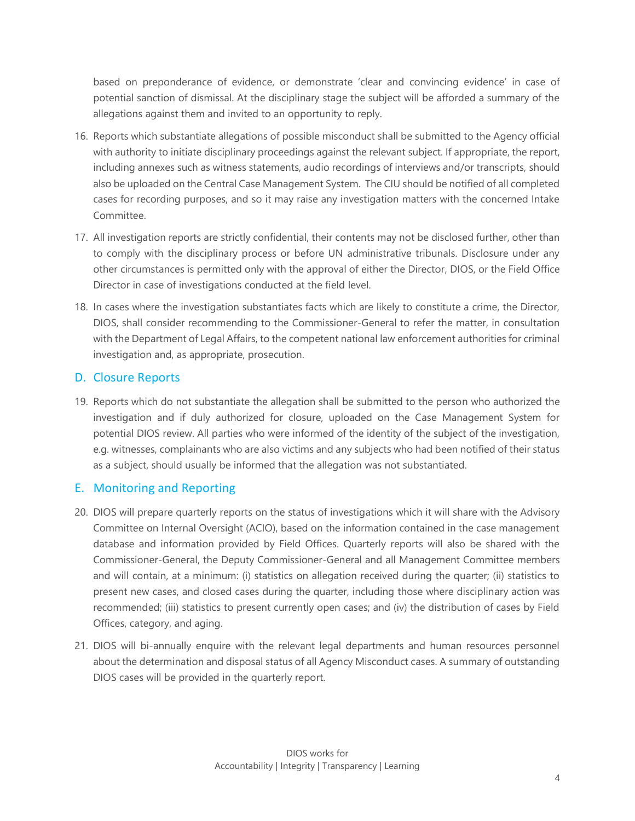based on preponderance of evidence, or demonstrate 'clear and convincing evidence' in case of potential sanction of dismissal. At the disciplinary stage the subject will be afforded a summary of the allegations against them and invited to an opportunity to reply.

- 16. Reports which substantiate allegations of possible misconduct shall be submitted to the Agency official with authority to initiate disciplinary proceedings against the relevant subject. If appropriate, the report, including annexes such as witness statements, audio recordings of interviews and/or transcripts, should also be uploaded on the Central Case Management System. The CIU should be notified of all completed cases for recording purposes, and so it may raise any investigation matters with the concerned Intake Committee.
- 17. All investigation reports are strictly confidential, their contents may not be disclosed further, other than to comply with the disciplinary process or before UN administrative tribunals. Disclosure under any other circumstances is permitted only with the approval of either the Director, DIOS, or the Field Office Director in case of investigations conducted at the field level.
- 18. In cases where the investigation substantiates facts which are likely to constitute a crime, the Director, DIOS, shall consider recommending to the Commissioner-General to refer the matter, in consultation with the Department of Legal Affairs, to the competent national law enforcement authorities for criminal investigation and, as appropriate, prosecution.

#### D. Closure Reports

19. Reports which do not substantiate the allegation shall be submitted to the person who authorized the investigation and if duly authorized for closure, uploaded on the Case Management System for potential DIOS review. All parties who were informed of the identity of the subject of the investigation, e.g. witnesses, complainants who are also victims and any subjects who had been notified of their status as a subject, should usually be informed that the allegation was not substantiated.

#### E. Monitoring and Reporting

- 20. DIOS will prepare quarterly reports on the status of investigations which it will share with the Advisory Committee on Internal Oversight (ACIO), based on the information contained in the case management database and information provided by Field Offices. Quarterly reports will also be shared with the Commissioner-General, the Deputy Commissioner-General and all Management Committee members and will contain, at a minimum: (i) statistics on allegation received during the quarter; (ii) statistics to present new cases, and closed cases during the quarter, including those where disciplinary action was recommended; (iii) statistics to present currently open cases; and (iv) the distribution of cases by Field Offices, category, and aging.
- 21. DIOS will bi-annually enquire with the relevant legal departments and human resources personnel about the determination and disposal status of all Agency Misconduct cases. A summary of outstanding DIOS cases will be provided in the quarterly report.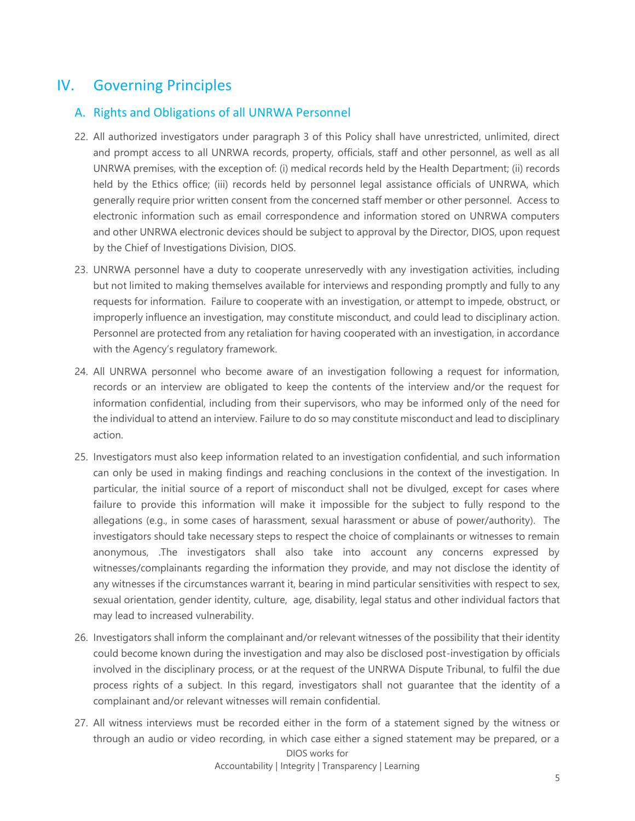### IV. Governing Principles

#### A. Rights and Obligations of all UNRWA Personnel

- 22. All authorized investigators under paragraph 3 of this Policy shall have unrestricted, unlimited, direct and prompt access to all UNRWA records, property, officials, staff and other personnel, as well as all UNRWA premises, with the exception of: (i) medical records held by the Health Department; (ii) records held by the Ethics office; (iii) records held by personnel legal assistance officials of UNRWA, which generally require prior written consent from the concerned staff member or other personnel. Access to electronic information such as email correspondence and information stored on UNRWA computers and other UNRWA electronic devices should be subject to approval by the Director, DIOS, upon request by the Chief of Investigations Division, DIOS.
- 23. UNRWA personnel have a duty to cooperate unreservedly with any investigation activities, including but not limited to making themselves available for interviews and responding promptly and fully to any requests for information. Failure to cooperate with an investigation, or attempt to impede, obstruct, or improperly influence an investigation, may constitute misconduct, and could lead to disciplinary action. Personnel are protected from any retaliation for having cooperated with an investigation, in accordance with the Agency's regulatory framework.
- 24. All UNRWA personnel who become aware of an investigation following a request for information, records or an interview are obligated to keep the contents of the interview and/or the request for information confidential, including from their supervisors, who may be informed only of the need for the individual to attend an interview. Failure to do so may constitute misconduct and lead to disciplinary action.
- 25. Investigators must also keep information related to an investigation confidential, and such information can only be used in making findings and reaching conclusions in the context of the investigation. In particular, the initial source of a report of misconduct shall not be divulged, except for cases where failure to provide this information will make it impossible for the subject to fully respond to the allegations (e.g., in some cases of harassment, sexual harassment or abuse of power/authority). The investigators should take necessary steps to respect the choice of complainants or witnesses to remain anonymous, .The investigators shall also take into account any concerns expressed by witnesses/complainants regarding the information they provide, and may not disclose the identity of any witnesses if the circumstances warrant it, bearing in mind particular sensitivities with respect to sex, sexual orientation, gender identity, culture, age, disability, legal status and other individual factors that may lead to increased vulnerability.
- 26. Investigators shall inform the complainant and/or relevant witnesses of the possibility that their identity could become known during the investigation and may also be disclosed post-investigation by officials involved in the disciplinary process, or at the request of the UNRWA Dispute Tribunal, to fulfil the due process rights of a subject. In this regard, investigators shall not guarantee that the identity of a complainant and/or relevant witnesses will remain confidential.
- DIOS works for 27. All witness interviews must be recorded either in the form of a statement signed by the witness or through an audio or video recording, in which case either a signed statement may be prepared, or a

Accountability | Integrity | Transparency | Learning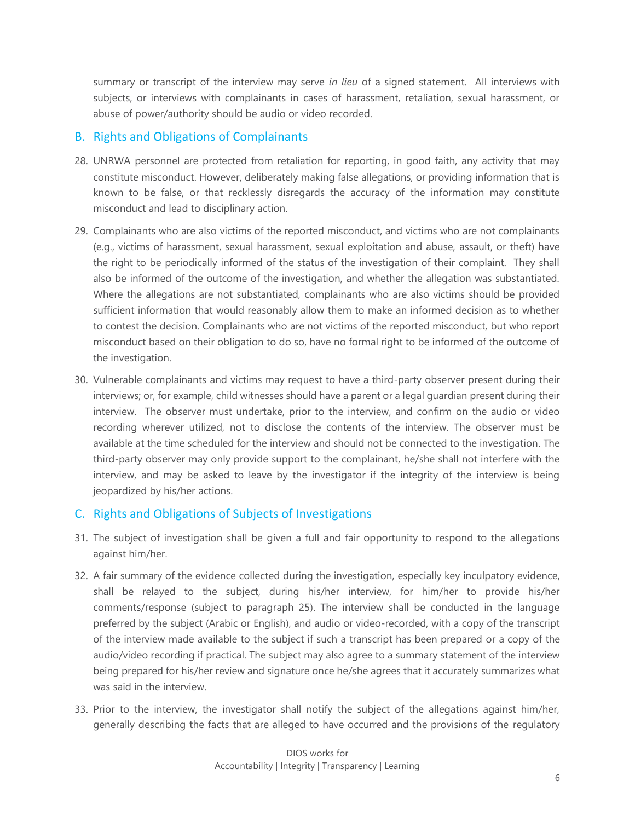summary or transcript of the interview may serve *in lieu* of a signed statement. All interviews with subjects, or interviews with complainants in cases of harassment, retaliation, sexual harassment, or abuse of power/authority should be audio or video recorded.

#### B. Rights and Obligations of Complainants

- 28. UNRWA personnel are protected from retaliation for reporting, in good faith, any activity that may constitute misconduct. However, deliberately making false allegations, or providing information that is known to be false, or that recklessly disregards the accuracy of the information may constitute misconduct and lead to disciplinary action.
- 29. Complainants who are also victims of the reported misconduct, and victims who are not complainants (e.g., victims of harassment, sexual harassment, sexual exploitation and abuse, assault, or theft) have the right to be periodically informed of the status of the investigation of their complaint. They shall also be informed of the outcome of the investigation, and whether the allegation was substantiated. Where the allegations are not substantiated, complainants who are also victims should be provided sufficient information that would reasonably allow them to make an informed decision as to whether to contest the decision. Complainants who are not victims of the reported misconduct, but who report misconduct based on their obligation to do so, have no formal right to be informed of the outcome of the investigation.
- 30. Vulnerable complainants and victims may request to have a third-party observer present during their interviews; or, for example, child witnesses should have a parent or a legal guardian present during their interview. The observer must undertake, prior to the interview, and confirm on the audio or video recording wherever utilized, not to disclose the contents of the interview. The observer must be available at the time scheduled for the interview and should not be connected to the investigation. The third-party observer may only provide support to the complainant, he/she shall not interfere with the interview, and may be asked to leave by the investigator if the integrity of the interview is being jeopardized by his/her actions.

#### C. Rights and Obligations of Subjects of Investigations

- 31. The subject of investigation shall be given a full and fair opportunity to respond to the allegations against him/her.
- 32. A fair summary of the evidence collected during the investigation, especially key inculpatory evidence, shall be relayed to the subject, during his/her interview, for him/her to provide his/her comments/response (subject to paragraph 25). The interview shall be conducted in the language preferred by the subject (Arabic or English), and audio or video-recorded, with a copy of the transcript of the interview made available to the subject if such a transcript has been prepared or a copy of the audio/video recording if practical. The subject may also agree to a summary statement of the interview being prepared for his/her review and signature once he/she agrees that it accurately summarizes what was said in the interview.
- 33. Prior to the interview, the investigator shall notify the subject of the allegations against him/her, generally describing the facts that are alleged to have occurred and the provisions of the regulatory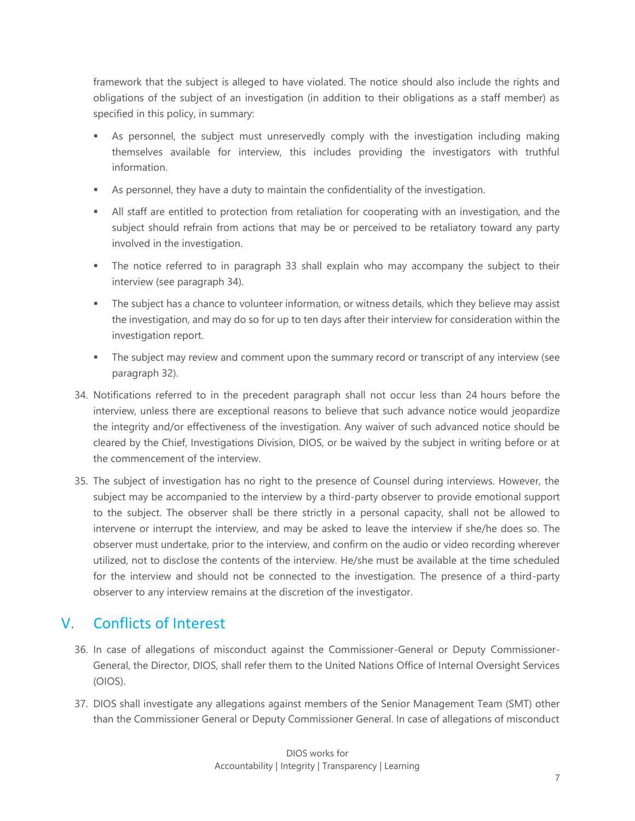framework that the subject is alleged to have violated. The notice should also include the rights and obligations of the subject of an investigation (in addition to their obligations as a staff member) as specified in this policy, in summary:

- **EXED** As personnel, the subject must unreservedly comply with the investigation including making themselves available for interview, this includes providing the investigators with truthful information.
- **EXE** As personnel, they have a duty to maintain the confidentiality of the investigation.
- **EXECT** All staff are entitled to protection from retaliation for cooperating with an investigation, and the subject should refrain from actions that may be or perceived to be retaliatory toward any party involved in the investigation.
- **•** The notice referred to in paragraph 33 shall explain who may accompany the subject to their interview (see paragraph 34).
- **•** The subject has a chance to volunteer information, or witness details, which they believe may assist the investigation, and may do so for up to ten days after their interview for consideration within the investigation report.
- **The subject may review and comment upon the summary record or transcript of any interview (see** paragraph 32).
- 34. Notifications referred to in the precedent paragraph shall not occur less than 24 hours before the interview, unless there are exceptional reasons to believe that such advance notice would jeopardize the integrity and/or effectiveness of the investigation. Any waiver of such advanced notice should be cleared by the Chief, Investigations Division, DIOS, or be waived by the subject in writing before or at the commencement of the interview.
- 35. The subject of investigation has no right to the presence of Counsel during interviews. However, the subject may be accompanied to the interview by a third-party observer to provide emotional support to the subject. The observer shall be there strictly in a personal capacity, shall not be allowed to intervene or interrupt the interview, and may be asked to leave the interview if she/he does so. The observer must undertake, prior to the interview, and confirm on the audio or video recording wherever utilized, not to disclose the contents of the interview. He/she must be available at the time scheduled for the interview and should not be connected to the investigation. The presence of a third-party observer to any interview remains at the discretion of the investigator.

# V. Conflicts of Interest

- 36. In case of allegations of misconduct against the Commissioner-General or Deputy Commissioner-General, the Director, DIOS, shall refer them to the United Nations Office of Internal Oversight Services (OIOS).
- 37. DIOS shall investigate any allegations against members of the Senior Management Team (SMT) other than the Commissioner General or Deputy Commissioner General. In case of allegations of misconduct